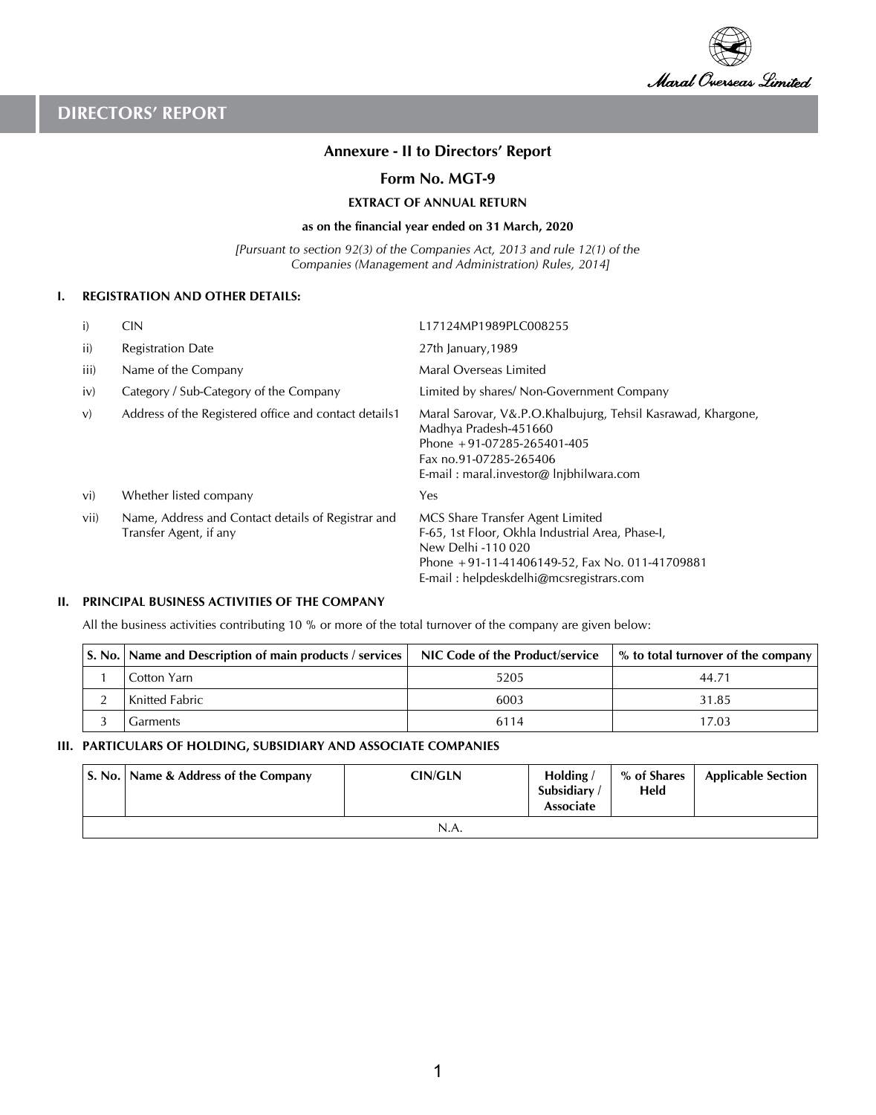

## **Annexure - II to Directors' Report**

### **Form No. MGT-9**

**EXTRACT OF ANNUAL RETURN**

#### **as on the financial year ended on 31 March, 2020**

*[Pursuant to section 92(3) of the Companies Act, 2013 and rule 12(1) of the Companies (Management and Administration) Rules, 2014]*

#### **I. REGISTRATION AND OTHER DETAILS:**

| i)   | <b>CIN</b>                                                                   | L17124MP1989PLC008255                                                                                                                                                                                   |
|------|------------------------------------------------------------------------------|---------------------------------------------------------------------------------------------------------------------------------------------------------------------------------------------------------|
| ii)  | <b>Registration Date</b>                                                     | 27th January, 1989                                                                                                                                                                                      |
| iii) | Name of the Company                                                          | Maral Overseas Limited                                                                                                                                                                                  |
| iv)  | Category / Sub-Category of the Company                                       | Limited by shares/ Non-Government Company                                                                                                                                                               |
| V)   | Address of the Registered office and contact details1                        | Maral Sarovar, V&.P.O.Khalbujurg, Tehsil Kasrawad, Khargone,<br>Madhya Pradesh-451660<br>Phone $+91-07285-265401-405$<br>Fax no.91-07285-265406<br>E-mail: maral.investor@ lnjbhilwara.com              |
| vi)  | Whether listed company                                                       | Yes                                                                                                                                                                                                     |
| vii) | Name, Address and Contact details of Registrar and<br>Transfer Agent, if any | MCS Share Transfer Agent Limited<br>F-65, 1st Floor, Okhla Industrial Area, Phase-I,<br>New Delhi -110 020<br>Phone +91-11-41406149-52, Fax No. 011-41709881<br>E-mail: helpdeskdelhi@mcsregistrars.com |

### **II. PRINCIPAL BUSINESS ACTIVITIES OF THE COMPANY**

All the business activities contributing 10 % or more of the total turnover of the company are given below:

| S. No. Name and Description of main products / services | NIC Code of the Product/service | % to total turnover of the company |
|---------------------------------------------------------|---------------------------------|------------------------------------|
| Cotton Yarn                                             | 5205                            | 44.71                              |
| <b>Knitted Fabric</b>                                   | 6003                            | 31.85                              |
| Garments                                                | 6114                            | 17.03                              |

### **III. PARTICULARS OF HOLDING, SUBSIDIARY AND ASSOCIATE COMPANIES**

|      | S. No.   Name & Address of the Company | <b>CIN/GLN</b> | Holding/<br>Subsidiary<br><b>Associate</b> | % of Shares<br>Held | <b>Applicable Section</b> |  |  |  |  |
|------|----------------------------------------|----------------|--------------------------------------------|---------------------|---------------------------|--|--|--|--|
| N.A. |                                        |                |                                            |                     |                           |  |  |  |  |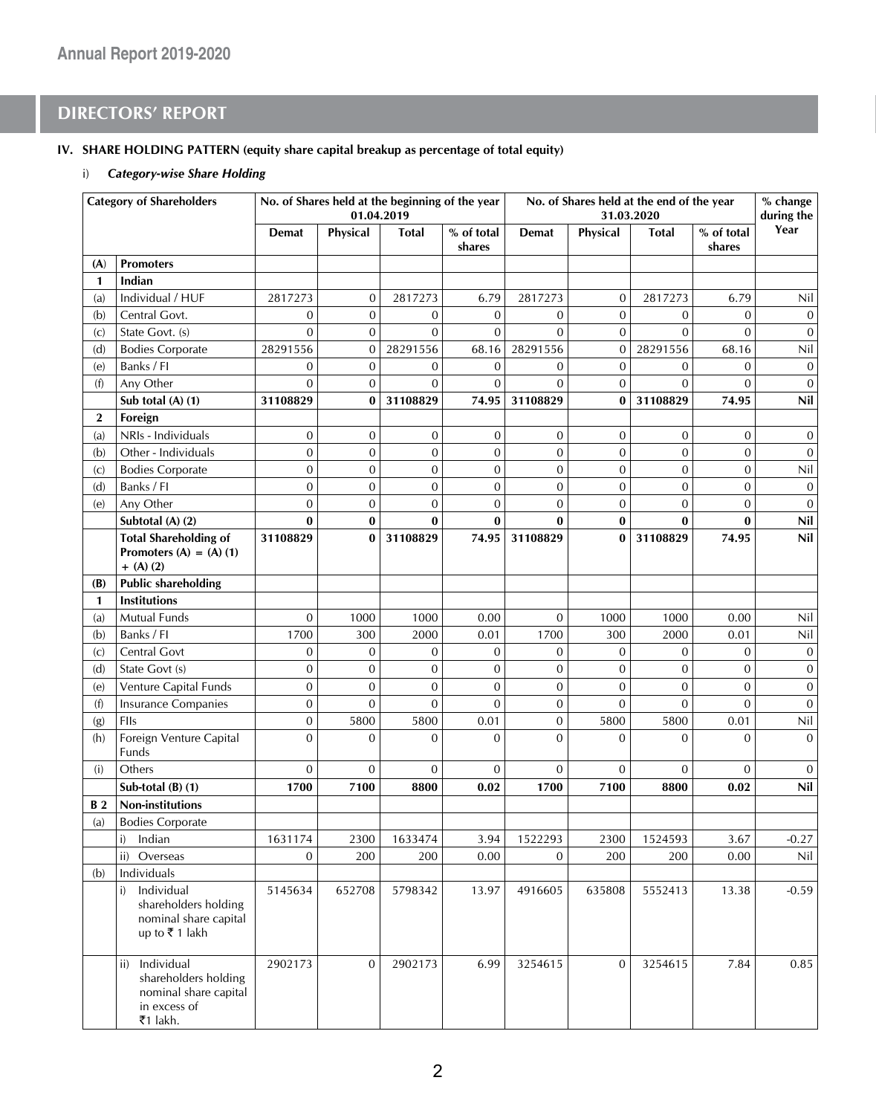### **IV. SHARE HOLDING PATTERN (equity share capital breakup as percentage of total equity)**

### i) *Category-wise Share Holding*

|                   | <b>Category of Shareholders</b>                                                             | No. of Shares held at the beginning of the year<br>No. of Shares held at the end of the year<br>01.04.2019<br>31.03.2020 |                |                | % change<br>during the |                  |                  |                  |                      |              |
|-------------------|---------------------------------------------------------------------------------------------|--------------------------------------------------------------------------------------------------------------------------|----------------|----------------|------------------------|------------------|------------------|------------------|----------------------|--------------|
|                   |                                                                                             | <b>Demat</b>                                                                                                             | Physical       | <b>Total</b>   | % of total<br>shares   | <b>Demat</b>     | Physical         | <b>Total</b>     | % of total<br>shares | Year         |
| (A)               | <b>Promoters</b>                                                                            |                                                                                                                          |                |                |                        |                  |                  |                  |                      |              |
| $\mathbf{1}$      | Indian                                                                                      |                                                                                                                          |                |                |                        |                  |                  |                  |                      |              |
| (a)               | Individual / HUF                                                                            | 2817273                                                                                                                  | 0              | 2817273        | 6.79                   | 2817273          | 0                | 2817273          | 6.79                 | Nil          |
| (b)               | Central Govt.                                                                               | $\mathbf{0}$                                                                                                             | $\overline{0}$ | 0              | $\mathbf 0$            | $\boldsymbol{0}$ | $\mathbf 0$      | $\overline{0}$   | $\mathbf{0}$         | $\mathbf{0}$ |
| $\left( c\right)$ | State Govt. (s)                                                                             | $\mathbf{0}$                                                                                                             | 0              | $\overline{0}$ | $\mathbf{0}$           | $\mathbf{0}$     | $\overline{0}$   | $\overline{0}$   | $\overline{0}$       | $\mathbf{0}$ |
| (d)               | <b>Bodies Corporate</b>                                                                     | 28291556                                                                                                                 | $\mathbf 0$    | 28291556       | 68.16                  | 28291556         | $\boldsymbol{0}$ | 28291556         | 68.16                | Nil          |
| (e)               | Banks / FI                                                                                  | $\mathbf{0}$                                                                                                             | 0              | 0              | $\mathbf{0}$           | $\mathbf{0}$     | $\mathbf 0$      | $\mathbf{0}$     | $\mathbf{0}$         | $\mathbf 0$  |
| (f)               | Any Other                                                                                   | $\overline{0}$                                                                                                           | $\overline{0}$ | $\mathbf 0$    | $\mathbf{0}$           | $\mathbf{0}$     | $\mathbf 0$      | $\overline{0}$   | $\overline{0}$       | $\mathbf{0}$ |
|                   | Sub total (A) (1)                                                                           | 31108829                                                                                                                 | $\bf{0}$       | 31108829       | 74.95                  | 31108829         | $\bf{0}$         | 31108829         | 74.95                | Nil          |
| $\mathbf{2}$      | Foreign                                                                                     |                                                                                                                          |                |                |                        |                  |                  |                  |                      |              |
| (a)               | NRIs - Individuals                                                                          | $\mathbf 0$                                                                                                              | 0              | 0              | $\mathbf 0$            | $\mathbf{0}$     | $\boldsymbol{0}$ | $\boldsymbol{0}$ | $\mathbf{0}$         | $\mathbf{0}$ |
| (b)               | Other - Individuals                                                                         | $\mathbf{0}$                                                                                                             | 0              | $\overline{0}$ | $\mathbf 0$            | $\mathbf{0}$     | $\overline{0}$   | $\mathbf 0$      | $\mathbf{0}$         | $\mathbf{0}$ |
| $\left( c\right)$ | <b>Bodies Corporate</b>                                                                     | $\mathbf{0}$                                                                                                             | 0              | $\mathbf{0}$   | $\mathbf 0$            | $\mathbf{0}$     | $\boldsymbol{0}$ | $\boldsymbol{0}$ | $\mathbf{0}$         | Nil          |
| (d)               | Banks / FI                                                                                  | $\mathbf{0}$                                                                                                             | 0              | $\overline{0}$ | $\mathbf{0}$           | $\mathbf{0}$     | $\overline{0}$   | $\mathbf{0}$     | $\mathbf{0}$         | $\mathbf{0}$ |
| (e)               | Any Other                                                                                   | $\mathbf{0}$                                                                                                             | $\mathbf{0}$   | 0              | $\mathbf{0}$           | $\mathbf{0}$     | 0                | $\mathbf{0}$     | $\mathbf{0}$         | $\mathbf 0$  |
|                   | Subtotal (A) (2)                                                                            | $\bf{0}$                                                                                                                 | $\bf{0}$       | 0              | $\bf{0}$               | $\bf{0}$         | 0                | $\bf{0}$         | $\bf{0}$             | Nil          |
|                   | <b>Total Shareholding of</b>                                                                | 31108829                                                                                                                 | $\bf{0}$       | 31108829       | 74.95                  | 31108829         | $\bf{0}$         | 31108829         | 74.95                | Nil          |
|                   | Promoters $(A) = (A) (1)$<br>$+$ (A) (2)                                                    |                                                                                                                          |                |                |                        |                  |                  |                  |                      |              |
| (B)               | <b>Public shareholding</b>                                                                  |                                                                                                                          |                |                |                        |                  |                  |                  |                      |              |
| 1                 | <b>Institutions</b>                                                                         |                                                                                                                          |                |                |                        |                  |                  |                  |                      |              |
| (a)               | Mutual Funds                                                                                | $\mathbf 0$                                                                                                              | 1000           | 1000           | 0.00                   | $\mathbf{0}$     | 1000             | 1000             | 0.00                 | Nil          |
| (b)               | Banks / FI                                                                                  | 1700                                                                                                                     | 300            | 2000           | 0.01                   | 1700             | 300              | 2000             | 0.01                 | Nil          |
| $\left( c\right)$ | Central Govt                                                                                | $\mathbf{0}$                                                                                                             | $\overline{0}$ | 0              | $\mathbf{0}$           | $\mathbf{0}$     | $\overline{0}$   | $\overline{0}$   | $\mathbf{0}$         | $\mathbf 0$  |
| (d)               | State Govt (s)                                                                              | $\mathbf{0}$                                                                                                             | $\mathbf 0$    | 0              | $\mathbf{0}$           | $\mathbf{0}$     | $\mathbf{0}$     | $\mathbf 0$      | $\mathbf{0}$         | $\mathbf 0$  |
| (e)               | Venture Capital Funds                                                                       | $\mathbf 0$                                                                                                              | $\mathbf 0$    | 0              | $\mathbf{0}$           | $\mathbf{0}$     | $\mathbf 0$      | $\overline{0}$   | $\mathbf{0}$         | $\mathbf{0}$ |
| (f)               | <b>Insurance Companies</b>                                                                  | $\mathbf{0}$                                                                                                             | $\mathbf{0}$   | $\mathbf{0}$   | $\mathbf{0}$           | $\mathbf{0}$     | $\mathbf{0}$     | $\overline{0}$   | $\mathbf{0}$         | $\mathbf{0}$ |
| (g)               | FIIs                                                                                        | $\mathbf{0}$                                                                                                             | 5800           | 5800           | 0.01                   | $\mathbf{0}$     | 5800             | 5800             | 0.01                 | Nil          |
| (h)               | Foreign Venture Capital<br>Funds                                                            | $\overline{0}$                                                                                                           | $\overline{0}$ | $\mathbf{0}$   | $\mathbf{0}$           | $\mathbf{0}$     | $\overline{0}$   | $\overline{0}$   | $\overline{0}$       | $\mathbf{0}$ |
| (i)               | Others                                                                                      | $\mathbf{0}$                                                                                                             | $\mathbf{0}$   | $\mathbf{0}$   | $\mathbf{0}$           | $\mathbf{0}$     | $\mathbf{0}$     | 0                | $\mathbf{0}$         | $\mathbf{0}$ |
|                   | Sub-total $(B)$ $(1)$                                                                       | 1700                                                                                                                     | 7100           | 8800           | 0.02                   | 1700             | 7100             | 8800             | 0.02                 | Nil          |
| <b>B2</b>         | <b>Non-institutions</b>                                                                     |                                                                                                                          |                |                |                        |                  |                  |                  |                      |              |
| (a)               | <b>Bodies Corporate</b>                                                                     |                                                                                                                          |                |                |                        |                  |                  |                  |                      |              |
|                   | i)<br>Indian                                                                                | 1631174                                                                                                                  | 2300           | 1633474        | 3.94                   | 1522293          | 2300             | 1524593          | 3.67                 | $-0.27$      |
|                   | ii) Overseas                                                                                | $\boldsymbol{0}$                                                                                                         | 200            | 200            | 0.00                   | $\boldsymbol{0}$ | 200              | 200              | $0.00\,$             | Nil          |
| (b)               | Individuals                                                                                 |                                                                                                                          |                |                |                        |                  |                  |                  |                      |              |
|                   | Individual<br>i)<br>shareholders holding<br>nominal share capital<br>up to ₹1 lakh          | 5145634                                                                                                                  | 652708         | 5798342        | 13.97                  | 4916605          | 635808           | 5552413          | 13.38                | $-0.59$      |
|                   | ii) Individual<br>shareholders holding<br>nominal share capital<br>in excess of<br>₹1 lakh. | 2902173                                                                                                                  | $\mathbf{0}$   | 2902173        | 6.99                   | 3254615          | $\mathbf{0}$     | 3254615          | 7.84                 | 0.85         |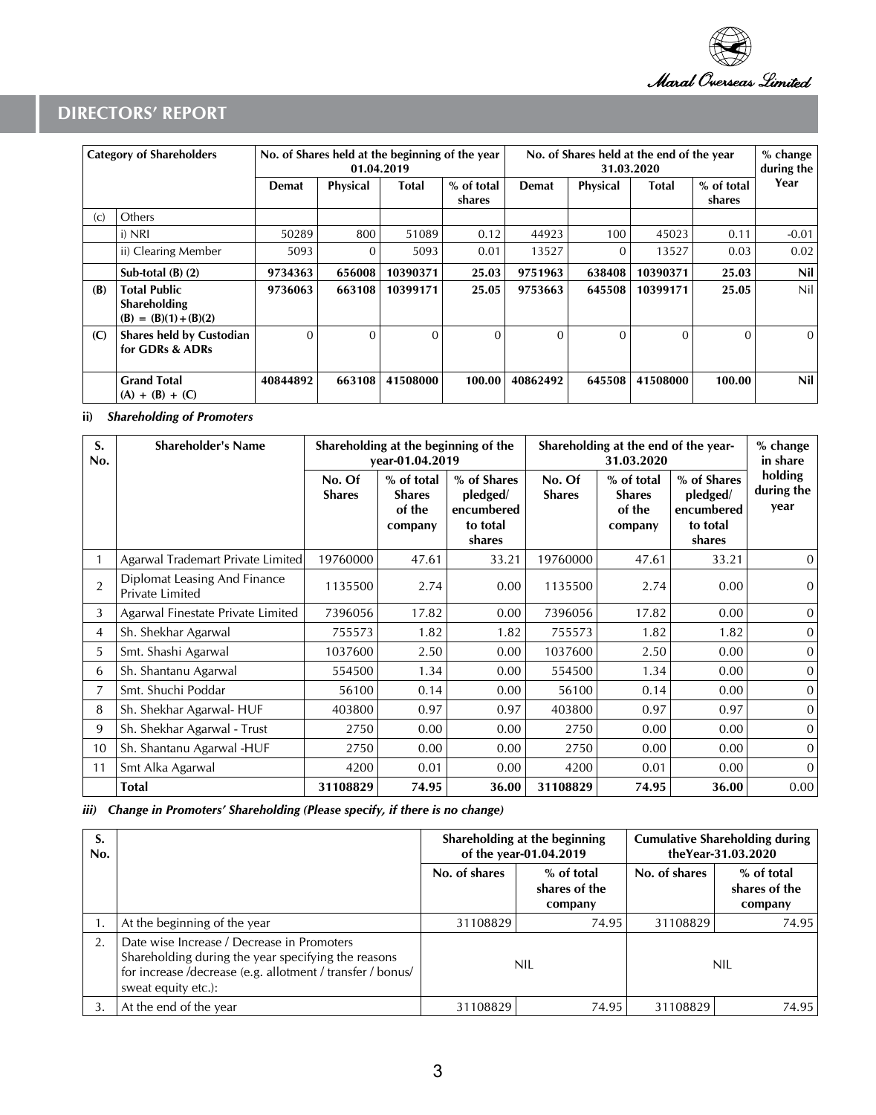

| <b>Category of Shareholders</b> |                                                                | No. of Shares held at the beginning of the year<br>01.04.2019 |                 |          |                      | No. of Shares held at the end of the year<br>31.03.2020 |          |          |                      | % change<br>during the |
|---------------------------------|----------------------------------------------------------------|---------------------------------------------------------------|-----------------|----------|----------------------|---------------------------------------------------------|----------|----------|----------------------|------------------------|
|                                 |                                                                | Demat                                                         | <b>Physical</b> | Total    | % of total<br>shares | <b>Demat</b>                                            | Physical | Total    | % of total<br>shares | Year                   |
| $\left( c\right)$               | Others                                                         |                                                               |                 |          |                      |                                                         |          |          |                      |                        |
|                                 | i) NRI                                                         | 50289                                                         | 800             | 51089    | 0.12                 | 44923                                                   | 100      | 45023    | 0.11                 | $-0.01$                |
|                                 | ii) Clearing Member                                            | 5093                                                          | 0               | 5093     | 0.01                 | 13527                                                   | $\Omega$ | 13527    | 0.03                 | 0.02                   |
|                                 | Sub-total $(B)$ $(2)$                                          | 9734363                                                       | 656008          | 10390371 | 25.03                | 9751963                                                 | 638408   | 10390371 | 25.03                | Nil                    |
| (B)                             | <b>Total Public</b><br>Shareholding<br>$(B) = (B)(1) + (B)(2)$ | 9736063                                                       | 663108          | 10399171 | 25.05                | 9753663                                                 | 645508   | 10399171 | 25.05                | Nil.                   |
| (C)                             | <b>Shares held by Custodian</b><br>for GDRs & ADRs             | $\Omega$                                                      | $\Omega$        | $\Omega$ | $\Omega$             | $\Omega$                                                | $\Omega$ | $\Omega$ | $\Omega$             | $\Omega$               |
|                                 | <b>Grand Total</b><br>$(A) + (B) + (C)$                        | 40844892                                                      | 663108          | 41508000 | 100.00               | 40862492                                                | 645508   | 41508000 | 100.00               | Nil I                  |

### **ii)** *Shareholding of Promoters*

| S.<br>No.      | <b>Shareholder's Name</b>                       |                         | vear-01.04.2019                                  | Shareholding at the beginning of the                        |                         | Shareholding at the end of the year-<br>31.03.2020 |                                                             | % change<br>in share          |
|----------------|-------------------------------------------------|-------------------------|--------------------------------------------------|-------------------------------------------------------------|-------------------------|----------------------------------------------------|-------------------------------------------------------------|-------------------------------|
|                |                                                 | No. Of<br><b>Shares</b> | % of total<br><b>Shares</b><br>of the<br>company | % of Shares<br>pledged/<br>encumbered<br>to total<br>shares | No. Of<br><b>Shares</b> | % of total<br><b>Shares</b><br>of the<br>company   | % of Shares<br>pledged/<br>encumbered<br>to total<br>shares | holding<br>during the<br>year |
|                | Agarwal Trademart Private Limited               | 19760000                | 47.61                                            | 33.21                                                       | 19760000                | 47.61                                              | 33.21                                                       | 0                             |
| $\overline{2}$ | Diplomat Leasing And Finance<br>Private Limited | 1135500                 | 2.74                                             | 0.00                                                        | 1135500                 | 2.74                                               | 0.00                                                        | $\Omega$                      |
| 3              | Agarwal Finestate Private Limited               | 7396056                 | 17.82                                            | 0.00                                                        | 7396056                 | 17.82                                              | 0.00                                                        | $\mathbf{0}$                  |
| 4              | Sh. Shekhar Agarwal                             | 755573                  | 1.82                                             | 1.82                                                        | 755573                  | 1.82                                               | 1.82                                                        | $\mathbf{0}$                  |
| 5              | Smt. Shashi Agarwal                             | 1037600                 | 2.50                                             | 0.00                                                        | 1037600                 | 2.50                                               | 0.00                                                        | $\Omega$                      |
| 6              | Sh. Shantanu Agarwal                            | 554500                  | 1.34                                             | 0.00                                                        | 554500                  | 1.34                                               | 0.00                                                        | $\mathbf{0}$                  |
| 7              | Smt. Shuchi Poddar                              | 56100                   | 0.14                                             | 0.00                                                        | 56100                   | 0.14                                               | 0.00                                                        | $\mathbf{0}$                  |
| 8              | Sh. Shekhar Agarwal- HUF                        | 403800                  | 0.97                                             | 0.97                                                        | 403800                  | 0.97                                               | 0.97                                                        | $\Omega$                      |
| 9              | Sh. Shekhar Agarwal - Trust                     | 2750                    | 0.00                                             | 0.00                                                        | 2750                    | 0.00                                               | 0.00                                                        | $\Omega$                      |
| 10             | Sh. Shantanu Agarwal -HUF                       | 2750                    | 0.00                                             | 0.00                                                        | 2750                    | 0.00                                               | 0.00                                                        | $\mathbf{0}$                  |
| 11             | Smt Alka Agarwal                                | 4200                    | 0.01                                             | 0.00                                                        | 4200                    | 0.01                                               | 0.00                                                        | $\Omega$                      |
|                | <b>Total</b>                                    | 31108829                | 74.95                                            | 36.00                                                       | 31108829                | 74.95                                              | 36.00                                                       | 0.00                          |

## *iii) Change in Promoters' Shareholding (Please specify, if there is no change)*

| S.<br>No. |                                                                                                                                                                                        |               | Shareholding at the beginning<br>of the year-01.04.2019 |               | <b>Cumulative Shareholding during</b><br>theYear-31.03.2020 |  |  |
|-----------|----------------------------------------------------------------------------------------------------------------------------------------------------------------------------------------|---------------|---------------------------------------------------------|---------------|-------------------------------------------------------------|--|--|
|           |                                                                                                                                                                                        | No. of shares | % of total<br>shares of the<br>company                  | No. of shares | % of total<br>shares of the<br>company                      |  |  |
|           | At the beginning of the year                                                                                                                                                           | 31108829      | 74.95                                                   | 31108829      | 74.95                                                       |  |  |
| 2.        | Date wise Increase / Decrease in Promoters<br>Shareholding during the year specifying the reasons<br>for increase /decrease (e.g. allotment / transfer / bonus/<br>sweat equity etc.): | NIL           |                                                         | NIL           |                                                             |  |  |
| 3.        | At the end of the year                                                                                                                                                                 | 31108829      | 74.95                                                   | 31108829      | 74.95                                                       |  |  |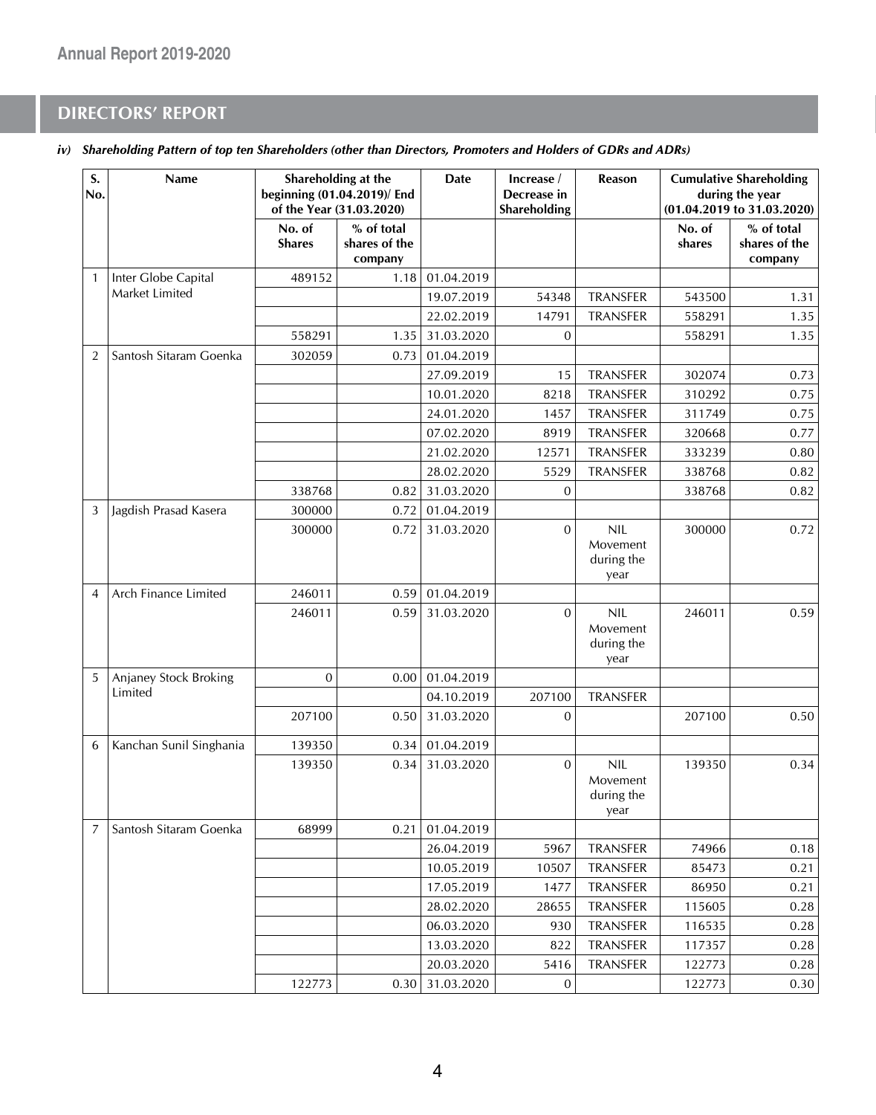| S.<br>No.      | Name                    |                         | Shareholding at the<br>beginning (01.04.2019)/ End<br>of the Year (31.03.2020) | <b>Date</b> | Increase /<br>Decrease in<br>Shareholding | Reason                                       |                  | <b>Cumulative Shareholding</b><br>during the year<br>(01.04.2019 to 31.03.2020) |
|----------------|-------------------------|-------------------------|--------------------------------------------------------------------------------|-------------|-------------------------------------------|----------------------------------------------|------------------|---------------------------------------------------------------------------------|
|                |                         | No. of<br><b>Shares</b> | % of total<br>shares of the<br>company                                         |             |                                           |                                              | No. of<br>shares | % of total<br>shares of the<br>company                                          |
| $\mathbf{1}$   | Inter Globe Capital     | 489152                  | 1.18                                                                           | 01.04.2019  |                                           |                                              |                  |                                                                                 |
|                | Market Limited          |                         |                                                                                | 19.07.2019  | 54348                                     | <b>TRANSFER</b>                              | 543500           | 1.31                                                                            |
|                |                         |                         |                                                                                | 22.02.2019  | 14791                                     | <b>TRANSFER</b>                              | 558291           | 1.35                                                                            |
|                |                         | 558291                  | 1.35                                                                           | 31.03.2020  | $\mathbf{0}$                              |                                              | 558291           | 1.35                                                                            |
| $\overline{2}$ | Santosh Sitaram Goenka  | 302059                  | 0.73                                                                           | 01.04.2019  |                                           |                                              |                  |                                                                                 |
|                |                         |                         |                                                                                | 27.09.2019  | 15                                        | <b>TRANSFER</b>                              | 302074           | 0.73                                                                            |
|                |                         |                         |                                                                                | 10.01.2020  | 8218                                      | <b>TRANSFER</b>                              | 310292           | 0.75                                                                            |
|                |                         |                         |                                                                                | 24.01.2020  | 1457                                      | TRANSFER                                     | 311749           | 0.75                                                                            |
|                |                         |                         |                                                                                | 07.02.2020  | 8919                                      | TRANSFER                                     | 320668           | 0.77                                                                            |
|                |                         |                         |                                                                                | 21.02.2020  | 12571                                     | TRANSFER                                     | 333239           | 0.80                                                                            |
|                |                         |                         |                                                                                | 28.02.2020  | 5529                                      | <b>TRANSFER</b>                              | 338768           | 0.82                                                                            |
|                |                         | 338768                  | 0.82                                                                           | 31.03.2020  | 0                                         |                                              | 338768           | 0.82                                                                            |
| 3              | Jagdish Prasad Kasera   | 300000                  | 0.72                                                                           | 01.04.2019  |                                           |                                              |                  |                                                                                 |
|                |                         | 300000                  | 0.72                                                                           | 31.03.2020  | $\mathbf{0}$                              | <b>NIL</b><br>Movement<br>during the<br>year | 300000           | 0.72                                                                            |
| $\overline{4}$ | Arch Finance Limited    | 246011                  | 0.59                                                                           | 01.04.2019  |                                           |                                              |                  |                                                                                 |
|                |                         | 246011                  | 0.59                                                                           | 31.03.2020  | $\overline{0}$                            | <b>NIL</b><br>Movement<br>during the<br>year | 246011           | 0.59                                                                            |
| 5              | Anjaney Stock Broking   | $\mathbf{0}$            | 0.00                                                                           | 01.04.2019  |                                           |                                              |                  |                                                                                 |
|                | Limited                 |                         |                                                                                | 04.10.2019  | 207100                                    | <b>TRANSFER</b>                              |                  |                                                                                 |
|                |                         | 207100                  | 0.50                                                                           | 31.03.2020  | $\boldsymbol{0}$                          |                                              | 207100           | 0.50                                                                            |
| 6              | Kanchan Sunil Singhania | 139350                  | 0.34                                                                           | 01.04.2019  |                                           |                                              |                  |                                                                                 |
|                |                         | 139350                  | 0.34                                                                           | 31.03.2020  | $\overline{0}$                            | <b>NIL</b><br>Movement<br>during the<br>year | 139350           | 0.34                                                                            |
| 7              | Santosh Sitaram Goenka  | 68999                   | 0.21                                                                           | 01.04.2019  |                                           |                                              |                  |                                                                                 |
|                |                         |                         |                                                                                | 26.04.2019  | 5967                                      | TRANSFER                                     | 74966            | 0.18                                                                            |
|                |                         |                         |                                                                                | 10.05.2019  | 10507                                     | TRANSFER                                     | 85473            | 0.21                                                                            |
|                |                         |                         |                                                                                | 17.05.2019  | 1477                                      | TRANSFER                                     | 86950            | 0.21                                                                            |
|                |                         |                         |                                                                                | 28.02.2020  | 28655                                     | TRANSFER                                     | 115605           | 0.28                                                                            |
|                |                         |                         |                                                                                | 06.03.2020  | 930                                       | TRANSFER                                     | 116535           | 0.28                                                                            |
|                |                         |                         |                                                                                | 13.03.2020  | 822                                       | TRANSFER                                     | 117357           | 0.28                                                                            |
|                |                         |                         |                                                                                | 20.03.2020  | 5416                                      | TRANSFER                                     | 122773           | 0.28                                                                            |
|                |                         | 122773                  | 0.30                                                                           | 31.03.2020  | 0                                         |                                              | 122773           | 0.30                                                                            |

*iv) Shareholding Pattern of top ten Shareholders (other than Directors, Promoters and Holders of GDRs and ADRs)*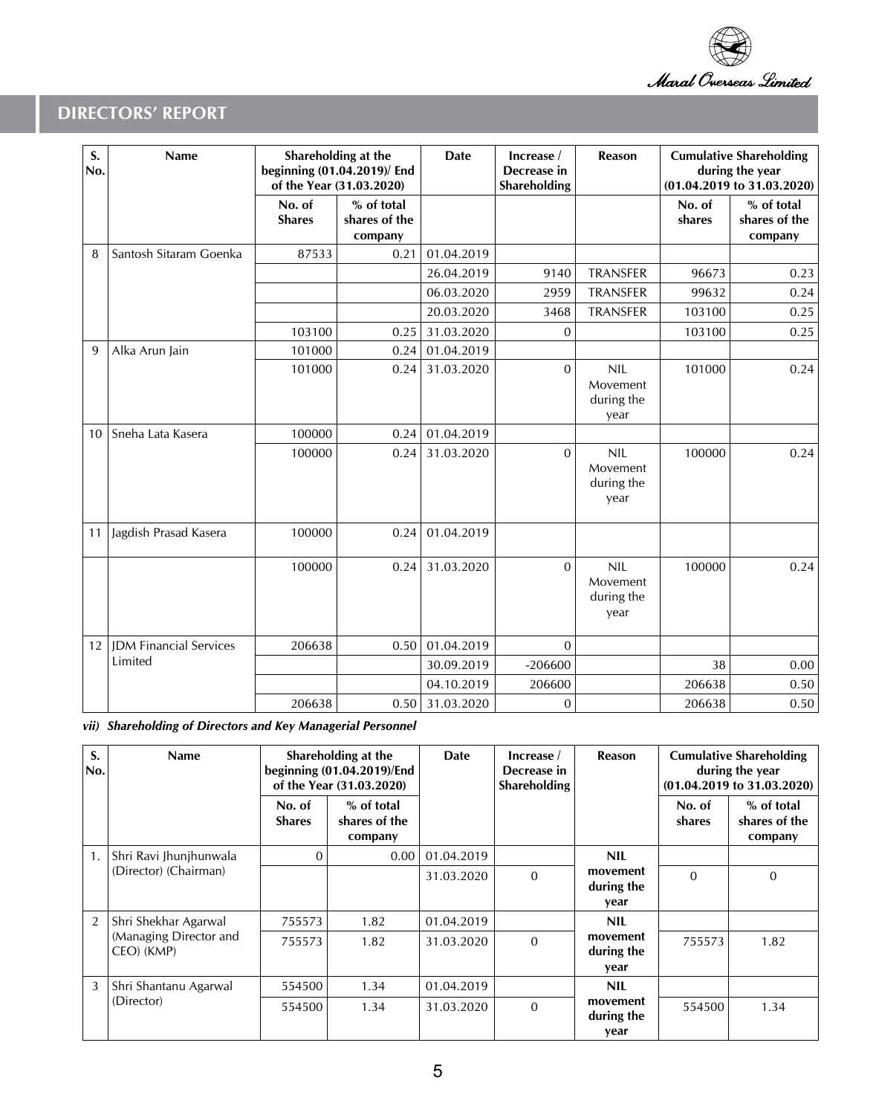

| S.<br>No. | Name                          | Shareholding at the<br>beginning (01.04.2019)/ End<br>of the Year (31.03.2020) |                                        | <b>Date</b> | Increase /<br>Decrease in<br>Shareholding | <b>Reason</b>                                |                  | <b>Cumulative Shareholding</b><br>during the year<br>(01.04.2019 to 31.03.2020) |
|-----------|-------------------------------|--------------------------------------------------------------------------------|----------------------------------------|-------------|-------------------------------------------|----------------------------------------------|------------------|---------------------------------------------------------------------------------|
|           |                               | No. of<br><b>Shares</b>                                                        | % of total<br>shares of the<br>company |             |                                           |                                              | No. of<br>shares | % of total<br>shares of the<br>company                                          |
| 8         | Santosh Sitaram Goenka        | 87533                                                                          | 0.21                                   | 01.04.2019  |                                           |                                              |                  |                                                                                 |
|           |                               |                                                                                |                                        | 26.04.2019  | 9140                                      | <b>TRANSFER</b>                              | 96673            | 0.23                                                                            |
|           |                               |                                                                                |                                        | 06.03.2020  | 2959                                      | <b>TRANSFER</b>                              | 99632            | 0.24                                                                            |
|           |                               |                                                                                |                                        | 20.03.2020  | 3468                                      | <b>TRANSFER</b>                              | 103100           | 0.25                                                                            |
|           |                               | 103100                                                                         | 0.25                                   | 31.03.2020  | $\mathbf{0}$                              |                                              | 103100           | 0.25                                                                            |
| 9         | Alka Arun Jain                | 101000                                                                         | 0.24                                   | 01.04.2019  |                                           |                                              |                  |                                                                                 |
|           |                               | 101000                                                                         | 0.24                                   | 31.03.2020  | $\Omega$                                  | <b>NIL</b><br>Movement<br>during the<br>year | 101000           | 0.24                                                                            |
| 10        | Sneha Lata Kasera             | 100000                                                                         | 0.24                                   | 01.04.2019  |                                           |                                              |                  |                                                                                 |
|           |                               | 100000                                                                         | 0.24                                   | 31.03.2020  | $\Omega$                                  | <b>NIL</b><br>Movement<br>during the<br>year | 100000           | 0.24                                                                            |
| 11        | Jagdish Prasad Kasera         | 100000                                                                         | 0.24                                   | 01.04.2019  |                                           |                                              |                  |                                                                                 |
|           |                               | 100000                                                                         | 0.24                                   | 31.03.2020  | $\Omega$                                  | <b>NIL</b><br>Movement<br>during the<br>year | 100000           | 0.24                                                                            |
| 12        | <b>JDM Financial Services</b> | 206638                                                                         | 0.50                                   | 01.04.2019  | $\Omega$                                  |                                              |                  |                                                                                 |
|           | Limited                       |                                                                                |                                        | 30.09.2019  | $-206600$                                 |                                              | 38               | 0.00                                                                            |
|           |                               |                                                                                |                                        | 04.10.2019  | 206600                                    |                                              | 206638           | 0.50                                                                            |
|           |                               | 206638                                                                         | 0.50                                   | 31.03.2020  | $\mathbf 0$                               |                                              | 206638           | 0.50                                                                            |

*vii) Shareholding of Directors and Key Managerial Personnel*

| S.<br>No.      | Name                                 |                         | Shareholding at the<br>beginning (01.04.2019)/End<br>of the Year (31.03.2020) | Date       | Increase /<br>Decrease in<br><b>Shareholding</b> | Reason                         | <b>Cumulative Shareholding</b><br>during the year<br>(01.04.2019 to 31.03.2020) |                                        |
|----------------|--------------------------------------|-------------------------|-------------------------------------------------------------------------------|------------|--------------------------------------------------|--------------------------------|---------------------------------------------------------------------------------|----------------------------------------|
|                |                                      | No. of<br><b>Shares</b> | % of total<br>shares of the<br>company                                        |            |                                                  |                                | No. of<br>shares                                                                | % of total<br>shares of the<br>company |
| 1.             | Shri Ravi Jhunjhunwala               | 0                       | 0.00                                                                          | 01.04.2019 |                                                  | <b>NIL</b>                     |                                                                                 |                                        |
|                | (Director) (Chairman)                |                         |                                                                               | 31.03.2020 | $\Omega$                                         | movement<br>during the<br>vear | $\Omega$                                                                        | $\mathbf{0}$                           |
| $\overline{2}$ | Shri Shekhar Agarwal                 | 755573                  | 1.82                                                                          | 01.04.2019 |                                                  | <b>NIL</b>                     |                                                                                 |                                        |
|                | (Managing Director and<br>CEO) (KMP) | 755573                  | 1.82                                                                          | 31.03.2020 | movement<br>$\Omega$<br>during the<br>year       |                                | 755573                                                                          | 1.82                                   |
| 3              | Shri Shantanu Agarwal                | 554500                  | 1.34                                                                          | 01.04.2019 |                                                  | <b>NIL</b>                     |                                                                                 |                                        |
|                | (Director)                           | 554500                  | 1.34                                                                          | 31.03.2020 | $\mathbf{0}$                                     | movement<br>during the<br>year | 554500                                                                          | 1.34                                   |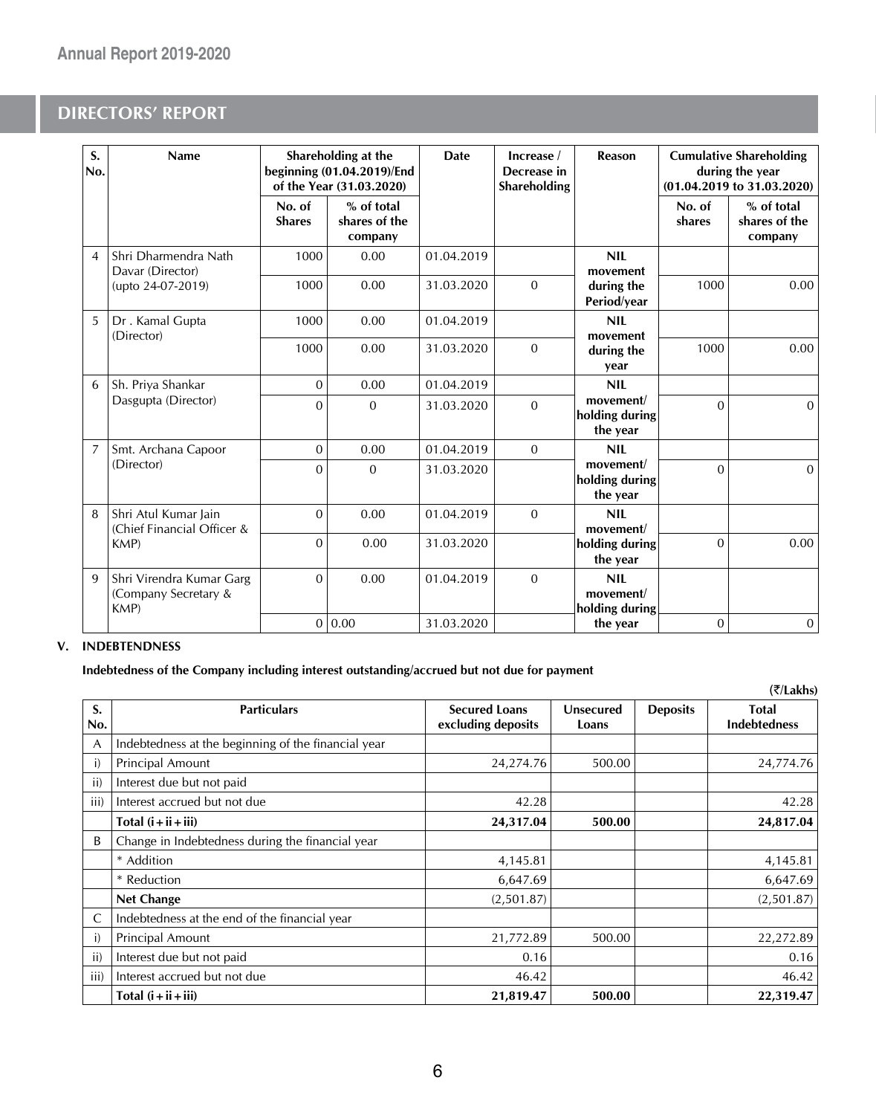| S.<br>No.      | Name                                                    |                         | Shareholding at the<br>beginning (01.04.2019)/End<br>of the Year (31.03.2020) | <b>Date</b> | Increase /<br>Decrease in<br>Shareholding | Reason                                    |                  | <b>Cumulative Shareholding</b><br>during the year<br>(01.04.2019 to 31.03.2020) |
|----------------|---------------------------------------------------------|-------------------------|-------------------------------------------------------------------------------|-------------|-------------------------------------------|-------------------------------------------|------------------|---------------------------------------------------------------------------------|
|                |                                                         | No. of<br><b>Shares</b> | % of total<br>shares of the<br>company                                        |             |                                           |                                           | No. of<br>shares | % of total<br>shares of the<br>company                                          |
| $\overline{4}$ | Shri Dharmendra Nath<br>Davar (Director)                | 1000                    | 0.00                                                                          | 01.04.2019  |                                           | <b>NIL</b><br>movement                    |                  |                                                                                 |
|                | (upto 24-07-2019)                                       | 1000                    | 0.00                                                                          | 31.03.2020  | $\mathbf{0}$                              | during the<br>Period/year                 | 1000             | 0.00                                                                            |
| 5              | Dr. Kamal Gupta                                         | 1000                    | 0.00                                                                          | 01.04.2019  |                                           | <b>NIL</b>                                |                  |                                                                                 |
|                | (Director)                                              | 1000                    | 0.00                                                                          | 31.03.2020  | $\Omega$                                  | movement<br>during the<br>year            | 1000             | 0.00                                                                            |
| 6              | Sh. Priya Shankar                                       | $\Omega$                | 0.00                                                                          | 01.04.2019  |                                           | <b>NIL</b>                                |                  |                                                                                 |
|                | Dasgupta (Director)                                     | $\Omega$                | $\mathbf{0}$                                                                  | 31.03.2020  | $\Omega$                                  | movement/<br>holding during<br>the year   | $\Omega$         | $\Omega$                                                                        |
| $\overline{7}$ | Smt. Archana Capoor                                     | $\overline{0}$          | 0.00                                                                          | 01.04.2019  | $\Omega$                                  | <b>NIL</b>                                |                  |                                                                                 |
|                | (Director)                                              | $\Omega$                | $\Omega$                                                                      | 31.03.2020  |                                           | movement/<br>holding during<br>the year   | $\Omega$         | $\Omega$                                                                        |
| 8              | Shri Atul Kumar Jain<br>(Chief Financial Officer &      | $\Omega$                | 0.00                                                                          | 01.04.2019  | $\mathbf{0}$                              | <b>NIL</b><br>movement/                   |                  |                                                                                 |
|                | KMP)                                                    | $\Omega$                | 0.00                                                                          | 31.03.2020  |                                           | holding during<br>the year                | $\overline{0}$   | 0.00                                                                            |
| $\mathbf{Q}$   | Shri Virendra Kumar Garg<br>(Company Secretary &<br>KMP | $\Omega$                | 0.00                                                                          | 01.04.2019  | $\Omega$                                  | <b>NIL</b><br>movement/<br>holding during |                  |                                                                                 |
|                |                                                         |                         | 0 0.00                                                                        | 31.03.2020  |                                           | the year                                  | $\mathbf{0}$     | $\mathbf{0}$                                                                    |

### **V. INDEBTENDNESS**

**Indebtedness of the Company including interest outstanding/accrued but not due for payment**

|           |                                                     |                                            |                    |                 | (₹/Lakhs)                           |
|-----------|-----------------------------------------------------|--------------------------------------------|--------------------|-----------------|-------------------------------------|
| S.<br>No. | <b>Particulars</b>                                  | <b>Secured Loans</b><br>excluding deposits | Unsecured<br>Loans | <b>Deposits</b> | <b>Total</b><br><b>Indebtedness</b> |
| A         | Indebtedness at the beginning of the financial year |                                            |                    |                 |                                     |
| i)        | Principal Amount                                    | 24,274.76                                  | 500.00             |                 | 24,774.76                           |
| ii)       | Interest due but not paid                           |                                            |                    |                 |                                     |
| iii)      | Interest accrued but not due                        | 42.28                                      |                    |                 | 42.28                               |
|           | Total $(i + ii + iii)$                              | 24,317.04                                  | 500.00             |                 | 24,817.04                           |
| B         | Change in Indebtedness during the financial year    |                                            |                    |                 |                                     |
|           | * Addition                                          | 4,145.81                                   |                    |                 | 4,145.81                            |
|           | * Reduction                                         | 6,647.69                                   |                    |                 | 6,647.69                            |
|           | <b>Net Change</b>                                   | (2,501.87)                                 |                    |                 | (2,501.87)                          |
| C         | Indebtedness at the end of the financial year       |                                            |                    |                 |                                     |
| i)        | Principal Amount                                    | 21,772.89                                  | 500.00             |                 | 22,272.89                           |
| ii)       | Interest due but not paid                           | 0.16                                       |                    |                 | 0.16                                |
| iii)      | Interest accrued but not due                        | 46.42                                      |                    |                 | 46.42                               |
|           | Total $(i + ii + iii)$                              | 21,819.47                                  | 500.00             |                 | 22,319.47                           |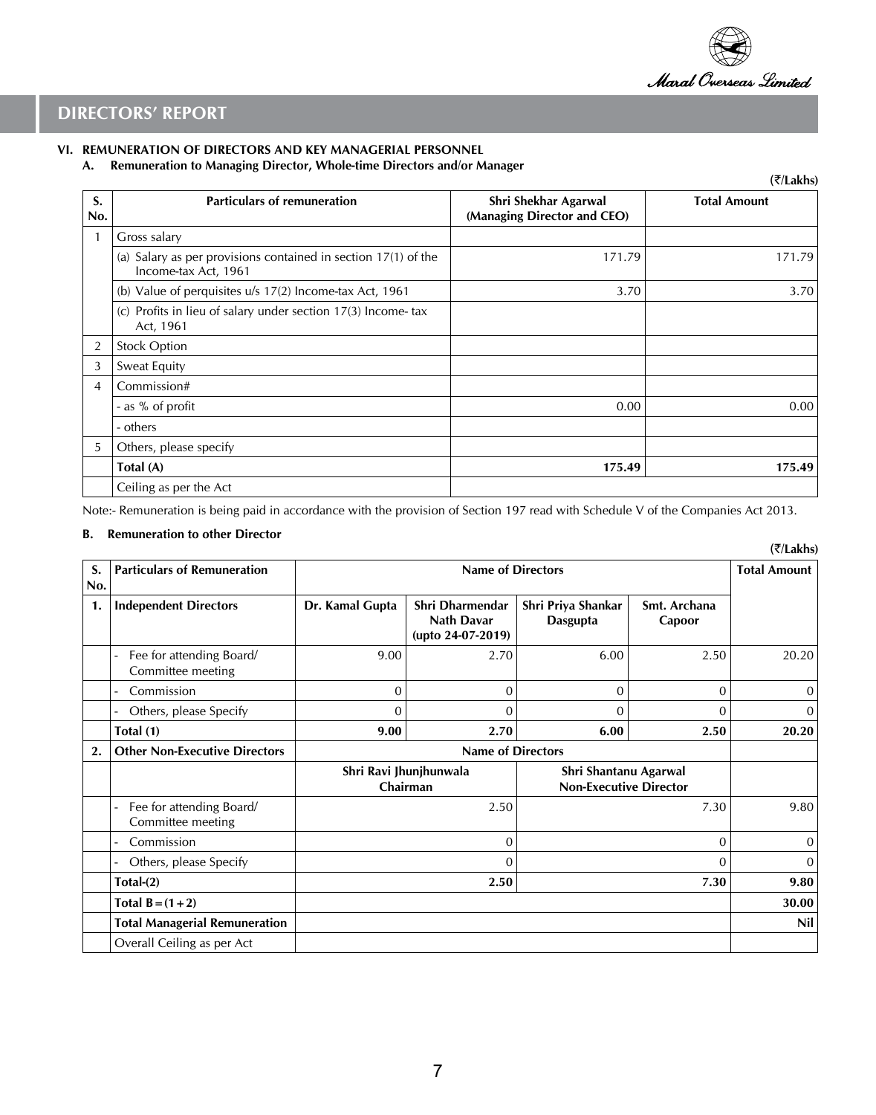

(`**/Lakhs)**

## **DIRECTORS' REPORT**

### **VI. REMUNERATION OF DIRECTORS AND KEY MANAGERIAL PERSONNEL**

**A. Remuneration to Managing Director, Whole-time Directors and/or Manager**

|                |                                                                                        |                                                     | (7/Lakhs)           |
|----------------|----------------------------------------------------------------------------------------|-----------------------------------------------------|---------------------|
| S.<br>No.      | <b>Particulars of remuneration</b>                                                     | Shri Shekhar Agarwal<br>(Managing Director and CEO) | <b>Total Amount</b> |
|                | Gross salary                                                                           |                                                     |                     |
|                | (a) Salary as per provisions contained in section 17(1) of the<br>Income-tax Act, 1961 | 171.79                                              | 171.79              |
|                | (b) Value of perquisites $u/s$ 17(2) Income-tax Act, 1961                              | 3.70                                                | 3.70                |
|                | (c) Profits in lieu of salary under section 17(3) Income-tax<br>Act, 1961              |                                                     |                     |
| $\overline{2}$ | <b>Stock Option</b>                                                                    |                                                     |                     |
| 3              | Sweat Equity                                                                           |                                                     |                     |
| 4              | Commission#                                                                            |                                                     |                     |
|                | - as % of profit                                                                       | 0.00                                                | 0.00                |
|                | - others                                                                               |                                                     |                     |
| 5              | Others, please specify                                                                 |                                                     |                     |
|                | Total (A)                                                                              | 175.49                                              | 175.49              |
|                | Ceiling as per the Act                                                                 |                                                     |                     |

Note:- Remuneration is being paid in accordance with the provision of Section 197 read with Schedule V of the Companies Act 2013.

#### **B. Remuneration to other Director**

| S.<br>No. | <b>Particulars of Remuneration</b>            | <b>Name of Directors</b>           |                                                    |                                                        |                        | <b>Total Amount</b> |
|-----------|-----------------------------------------------|------------------------------------|----------------------------------------------------|--------------------------------------------------------|------------------------|---------------------|
| 1.        | <b>Independent Directors</b>                  | Dr. Kamal Gupta                    | Shri Dharmendar<br>Nath Davar<br>(upto 24-07-2019) | Shri Priya Shankar<br>Dasgupta                         | Smt. Archana<br>Capoor |                     |
|           | Fee for attending Board/<br>Committee meeting | 9.00                               | 2.70                                               | 6.00                                                   | 2.50                   | 20.20               |
|           | Commission                                    | 0                                  | $\Omega$                                           | $\Omega$                                               | $\Omega$               | $\mathbf{0}$        |
|           | Others, please Specify                        | $\Omega$                           | $\Omega$                                           | $\Omega$                                               | 0                      | $\overline{0}$      |
|           | Total (1)                                     | 9.00                               | 2.70                                               | 6.00                                                   | 2.50                   | 20.20               |
| 2.        | <b>Other Non-Executive Directors</b>          | <b>Name of Directors</b>           |                                                    |                                                        |                        |                     |
|           |                                               | Shri Ravi Jhunjhunwala<br>Chairman |                                                    | Shri Shantanu Agarwal<br><b>Non-Executive Director</b> |                        |                     |
|           | Fee for attending Board/<br>Committee meeting | 2.50                               |                                                    | 7.30                                                   |                        | 9.80                |
|           | Commission                                    | 0                                  |                                                    | 0                                                      |                        | $\overline{0}$      |
|           | Others, please Specify                        | 0                                  |                                                    | 0                                                      |                        | $\mathbf{0}$        |
|           | $Total-(2)$                                   | 2.50                               |                                                    | 7.30                                                   |                        | 9.80                |
|           | Total $B = (1 + 2)$                           |                                    |                                                    |                                                        |                        | 30.00               |
|           | <b>Total Managerial Remuneration</b>          |                                    |                                                    |                                                        |                        | Nil                 |
|           | Overall Ceiling as per Act                    |                                    |                                                    |                                                        |                        |                     |